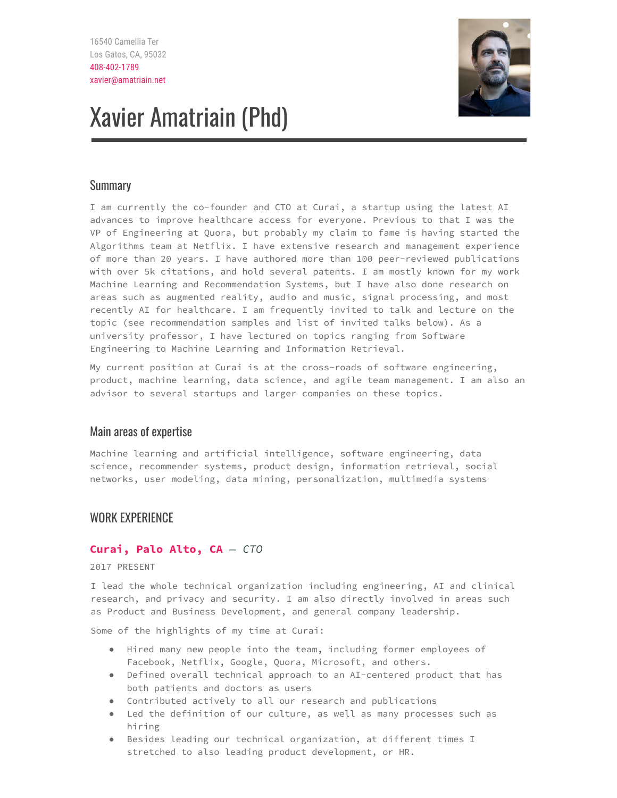

# Xavier Amatriain (Phd)

# Summary

I am currently the co-founder and CTO at Curai, a startup using the latest AI advances to improve healthcare access for everyone. Previous to that I was the VP of Engineering at Quora, but probably my claim to fame is having started the Algorithms team at Netflix. I have extensive research and management experience of more than 20 years. I have authored more than 100 peer-reviewed publications with over 5k citations, and hold several patents. I am mostly known for my work Machine Learning and Recommendation Systems, but I have also done research on areas such as augmented reality, audio and music, signal processing, and most recently AI for healthcare. I am frequently invited to talk and lecture on the topic (see recommendation samples and list of invited talks below). As a university professor, I have lectured on topics ranging from Software Engineering to Machine Learning and Information Retrieval.

My current position at Curai is at the cross-roads of software engineering, product, machine learning, data science, and agile team management. I am also an advisor to several startups and larger companies on these topics.

# Main areas of expertise

Machine learning and artificial intelligence, software engineering, data science, recommender systems, product design, information retrieval, social networks, user modeling, data mining, personalization, multimedia systems

# WORK EXPERIENCE

# **Curai, Palo Alto, CA** *— CTO*

2017 PRESENT

I lead the whole technical organization including engineering, AI and clinical research, and privacy and security. I am also directly involved in areas such as Product and Business Development, and general company leadership.

Some of the highlights of my time at Curai:

- Hired many new people into the team, including former employees of Facebook, Netflix, Google, Quora, Microsoft, and others.
- Defined overall technical approach to an AI-centered product that has both patients and doctors as users
- Contributed actively to all our research and publications
- Led the definition of our culture, as well as many processes such as hiring
- Besides leading our technical organization, at different times I stretched to also leading product development, or HR.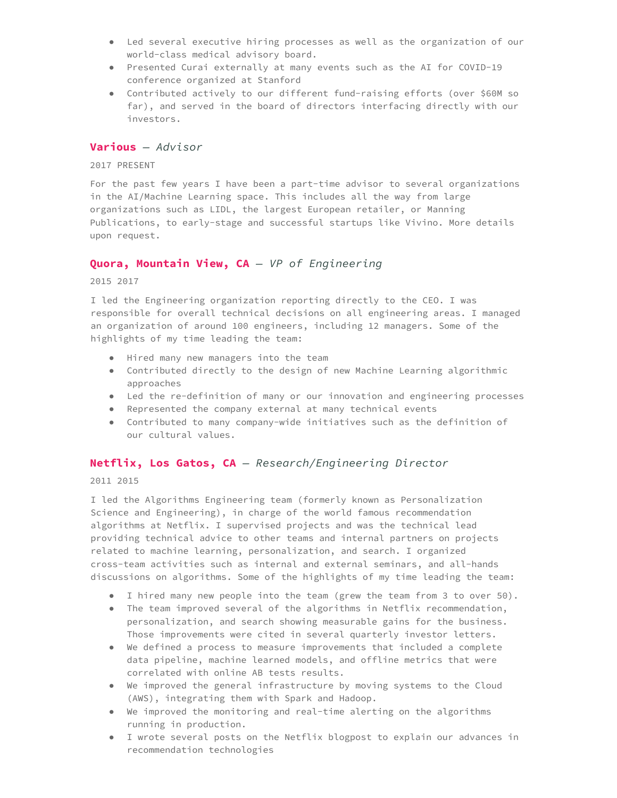- Led several executive hiring processes as well as the organization of our world-class medical advisory board.
- Presented Curai externally at many events such as the AI for COVID-19 conference organized at Stanford
- Contributed actively to our different fund-raising efforts (over \$60M so far), and served in the board of directors interfacing directly with our investors.

#### **Various** *— Advisor*

2017 PRESENT

For the past few years I have been a part-time advisor to several organizations in the AI/Machine Learning space. This includes all the way from large organizations such as LIDL, the largest European retailer, or Manning Publications, to early-stage and successful startups like Vivino. More details upon request.

#### **Quora, Mountain View, CA** *— VP of Engineering*

2015 2017

I led the Engineering organization reporting directly to the CEO. I was responsible for overall technical decisions on all engineering areas. I managed an organization of around 100 engineers, including 12 managers. Some of the highlights of my time leading the team:

- Hired many new managers into the team
- Contributed directly to the design of new Machine Learning algorithmic approaches
- Led the re-definition of many or our innovation and engineering processes
- Represented the company external at many technical events
- Contributed to many company-wide initiatives such as the definition of our cultural values.

#### **Netflix, Los Gatos, CA** *— Research/Engineering Director*

2011 2015

I led the Algorithms Engineering team (formerly known as Personalization Science and Engineering), in charge of the world famous recommendation algorithms at Netflix. I supervised projects and was the technical lead providing technical advice to other teams and internal partners on projects related to machine learning, personalization, and search. I organized cross-team activities such as internal and external seminars, and all-hands discussions on algorithms. Some of the highlights of my time leading the team:

- I hired many new people into the team (grew the team from 3 to over 50).
- The team improved several of the algorithms in Netflix recommendation, personalization, and search showing measurable gains for the business. Those improvements were cited in several quarterly investor letters.
- We defined a process to measure improvements that included a complete data pipeline, machine learned models, and offline metrics that were correlated with online AB tests results.
- We improved the general infrastructure by moving systems to the Cloud (AWS), integrating them with Spark and Hadoop.
- We improved the monitoring and real-time alerting on the algorithms running in production.
- I wrote several posts on the Netflix blogpost to explain our advances in recommendation technologies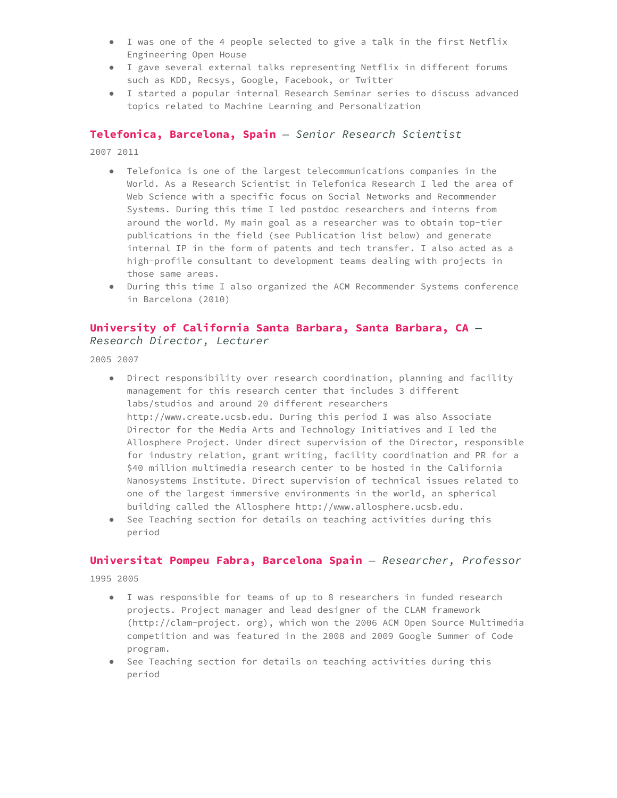- I was one of the 4 people selected to give a talk in the first Netflix Engineering Open House
- I gave several external talks representing Netflix in different forums such as KDD, Recsys, Google, Facebook, or Twitter
- I started a popular internal Research Seminar series to discuss advanced topics related to Machine Learning and Personalization

#### **Telefonica, Barcelona, Spain** *— Senior Research Scientist*

2007 2011

- Telefonica is one of the largest telecommunications companies in the World. As a Research Scientist in Telefonica Research I led the area of Web Science with a specific focus on Social Networks and Recommender Systems. During this time I led postdoc researchers and interns from around the world. My main goal as a researcher was to obtain top-tier publications in the field (see Publication list below) and generate internal IP in the form of patents and tech transfer. I also acted as a high-profile consultant to development teams dealing with projects in those same areas.
- During this time I also organized the ACM Recommender Systems conference in Barcelona (2010)

#### **University of California Santa Barbara, Santa Barbara, CA** *— Research Director, Lecturer*

2005 2007

- Direct responsibility over research coordination, planning and facility management for this research center that includes 3 different labs/studios and around 20 different researchers http://www.create.ucsb.edu. During this period I was also Associate Director for the Media Arts and Technology Initiatives and I led the Allosphere Project. Under direct supervision of the Director, responsible for industry relation, grant writing, facility coordination and PR for a \$40 million multimedia research center to be hosted in the California Nanosystems Institute. Direct supervision of technical issues related to one of the largest immersive environments in the world, an spherical building called the Allosphere http://www.allosphere.ucsb.edu.
- See Teaching section for details on teaching activities during this period

#### **Universitat Pompeu Fabra, Barcelona Spain** *— Researcher, Professor*

1995 2005

- I was responsible for teams of up to 8 researchers in funded research projects. Project manager and lead designer of the CLAM framework (http://clam-project. org), which won the 2006 ACM Open Source Multimedia competition and was featured in the 2008 and 2009 Google Summer of Code program.
- See Teaching section for details on teaching activities during this period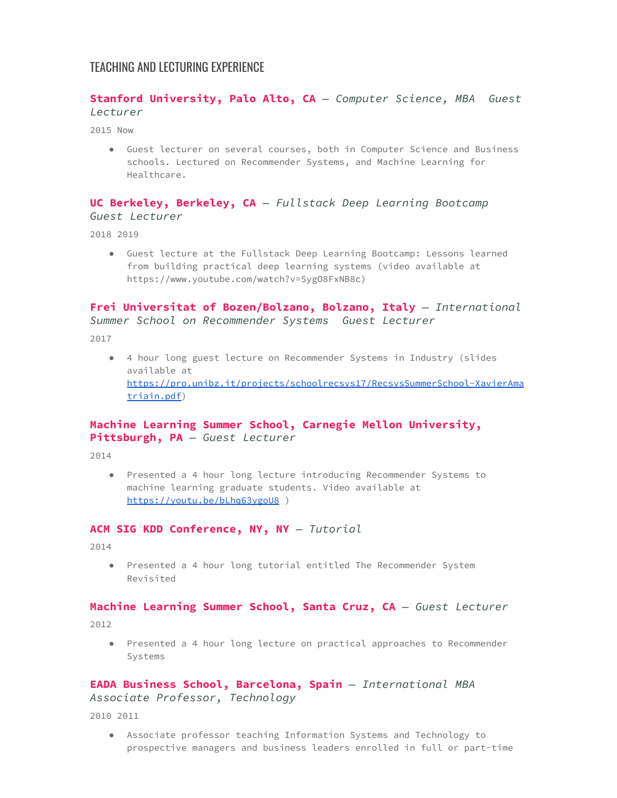# TEACHING AND LECTURING EXPERIENCE

## **Stanford University, Palo Alto, CA** *— Computer Science, MBA Guest Lecturer*

2015 Now

● Guest lecturer on several courses, both in Computer Science and Business schools. Lectured on Recommender Systems, and Machine Learning for Healthcare.

#### **UC Berkeley, Berkeley, CA** *— Fullstack Deep Learning Bootcamp Guest Lecturer*

2018 2019

● Guest lecture at the Fullstack Deep Learning Bootcamp: Lessons learned from building practical deep learning systems (video available at https://www.youtube.com/watch?v=5ygO8FxNB8c)

## **Frei Universitat of Bozen/Bolzano, Bolzano, Italy** *— International Summer School on Recommender Systems Guest Lecturer*

2017

● 4 hour long guest lecture on Recommender Systems in Industry (slides available at [https://pro.unibz.it/projects/schoolrecsys17/RecsysSummerSchool-XavierAma](https://pro.unibz.it/projects/schoolrecsys17/RecsysSummerSchool-XavierAmatriain.pdf) [triain.pdf](https://pro.unibz.it/projects/schoolrecsys17/RecsysSummerSchool-XavierAmatriain.pdf))

# **Machine Learning Summer School, Carnegie Mellon University, Pittsburgh, PA** *— Guest Lecturer*

2014

● Presented a 4 hour long lecture introducing Recommender Systems to machine learning graduate students. Video available at <https://youtu.be/bLhq63ygoU8> )

#### **ACM SIG KDD Conference, NY, NY** *— Tutorial*

2014

● Presented a 4 hour long tutorial entitled The Recommender System Revisited

#### **Machine Learning Summer School, Santa Cruz, CA** *— Guest Lecturer*

2012

● Presented a 4 hour long lecture on practical approaches to Recommender Systems

#### **EADA Business School, Barcelona, Spain** *— International MBA Associate Professor, Technology*

2010 2011

● Associate professor teaching Information Systems and Technology to prospective managers and business leaders enrolled in full or part-time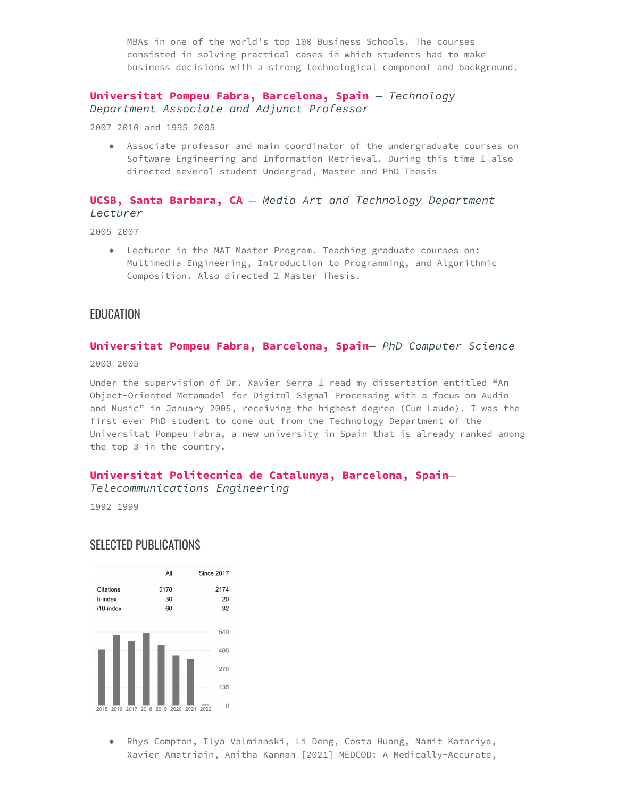MBAs in one of the world's top 100 Business Schools. The courses consisted in solving practical cases in which students had to make business decisions with a strong technological component and background.

#### **Universitat Pompeu Fabra, Barcelona, Spain** *— Technology Department Associate and Adjunct Professor*

2007 2010 and 1995 2005

● Associate professor and main coordinator of the undergraduate courses on Software Engineering and Information Retrieval. During this time I also directed several student Undergrad, Master and PhD Thesis

#### **UCSB, Santa Barbara, CA** *— Media Art and Technology Department Lecturer*

2005 2007

● Lecturer in the MAT Master Program. Teaching graduate courses on: Multimedia Engineering, Introduction to Programming, and Algorithmic Composition. Also directed 2 Master Thesis.

## EDUCATION

# **Universitat Pompeu Fabra, Barcelona, Spain***— PhD Computer Science*

2000 2005

Under the supervision of Dr. Xavier Serra I read my dissertation entitled "An Object-Oriented Metamodel for Digital Signal Processing with a focus on Audio and Music" in January 2005, receiving the highest degree (Cum Laude). I was the first ever PhD student to come out from the Technology Department of the Universitat Pompeu Fabra, a new university in Spain that is already ranked among the top 3 in the country.

## **Universitat Politecnica de Catalunya, Barcelona, Spain***—*

*Telecommunications Engineering*

1992 1999

# SELECTED PUBLICATIONS



● Rhys Compton, Ilya Valmianski, Li Deng, Costa Huang, Namit Katariya, Xavier Amatriain, Anitha Kannan [2021] MEDCOD: A Medically-Accurate,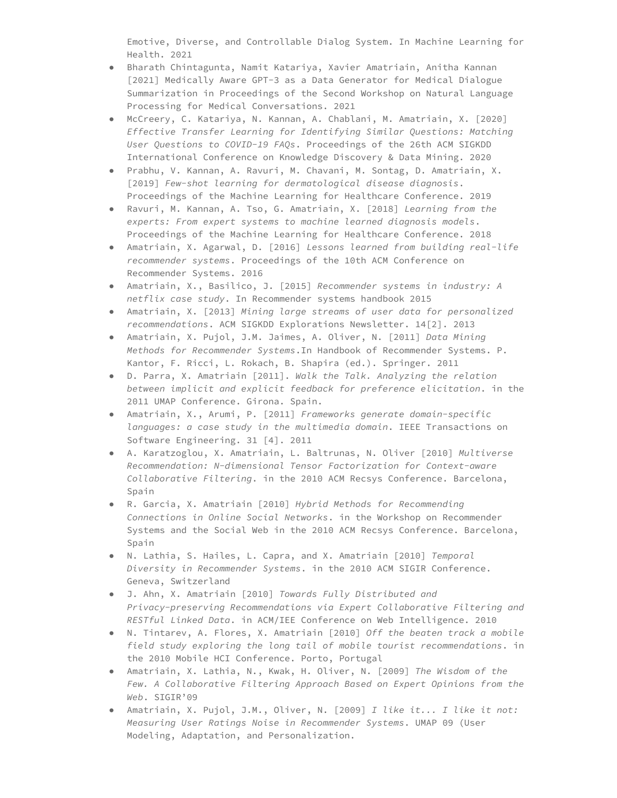Emotive, Diverse, and Controllable Dialog System. In Machine Learning for Health. 2021

- Bharath Chintagunta, Namit Katariya, Xavier Amatriain, Anitha Kannan [2021] Medically Aware GPT-3 as a Data Generator for Medical Dialogue Summarization in Proceedings of the Second Workshop on Natural Language Processing for Medical Conversations. 2021
- McCreery, C. Katariya, N. Kannan, A. Chablani, M. Amatriain, X. [2020] *Effective Transfer Learning for Identifying Similar Questions: Matching User Questions to COVID-19 FAQs*. Proceedings of the 26th ACM SIGKDD International Conference on Knowledge Discovery & Data Mining. 2020
- Prabhu, V. Kannan, A. Ravuri, M. Chavani, M. Sontag, D. Amatriain, X. [2019] *Few-shot learning for dermatological disease diagnosis*. Proceedings of the Machine Learning for Healthcare Conference. 2019
- Ravuri, M. Kannan, A. Tso, G. Amatriain, X. [2018] *Learning from the experts: From expert systems to machine learned diagnosis models*. Proceedings of the Machine Learning for Healthcare Conference. 2018
- Amatriain, X. Agarwal, D. [2016] *Lessons learned from building real-life recommender systems*. Proceedings of the 10th ACM Conference on Recommender Systems. 2016
- Amatriain, X., Basilico, J. [2015] *Recommender systems in industry: A netflix case study*. In Recommender systems handbook 2015
- Amatriain, X. [2013] *Mining large streams of user data for personalized recommendations*. ACM SIGKDD Explorations Newsletter. 14[2]. 2013
- Amatriain, X. Pujol, J.M. Jaimes, A. Oliver, N. [2011] *Data Mining Methods for Recommender Systems*.In Handbook of Recommender Systems. P. Kantor, F. Ricci, L. Rokach, B. Shapira (ed.). Springer. 2011
- D. Parra, X. Amatriain [2011]. *Walk the Talk. Analyzing the relation between implicit and explicit feedback for preference elicitation*. in the 2011 UMAP Conference. Girona. Spain.
- Amatriain, X., Arumi, P. [2011] *Frameworks generate domain-specific languages: a case study in the multimedia domain*. IEEE Transactions on Software Engineering. 31 [4]. 2011
- A. Karatzoglou, X. Amatriain, L. Baltrunas, N. Oliver [2010] *Multiverse Recommendation: N-dimensional Tensor Factorization for Context-aware Collaborative Filtering*. in the 2010 ACM Recsys Conference. Barcelona, Spain
- R. Garcia, X. Amatriain [2010] *Hybrid Methods for Recommending Connections in Online Social Networks*. in the Workshop on Recommender Systems and the Social Web in the 2010 ACM Recsys Conference. Barcelona, Spain
- N. Lathia, S. Hailes, L. Capra, and X. Amatriain [2010] *Temporal Diversity in Recommender Systems*. in the 2010 ACM SIGIR Conference. Geneva, Switzerland
- J. Ahn, X. Amatriain [2010] *Towards Fully Distributed and Privacy-preserving Recommendations via Expert Collaborative Filtering and RESTful Linked Data*. in ACM/IEE Conference on Web Intelligence. 2010
- N. Tintarev, A. Flores, X. Amatriain [2010] *Off the beaten track a mobile field study exploring the long tail of mobile tourist recommendations*. in the 2010 Mobile HCI Conference. Porto, Portugal
- Amatriain, X. Lathia, N., Kwak, H. Oliver, N. [2009] *The Wisdom of the Few. A Collaborative Filtering Approach Based on Expert Opinions from the Web*. SIGIR'09
- Amatriain, X. Pujol, J.M., Oliver, N. [2009] *I like it... I like it not: Measuring User Ratings Noise in Recommender Systems*. UMAP 09 (User Modeling, Adaptation, and Personalization.